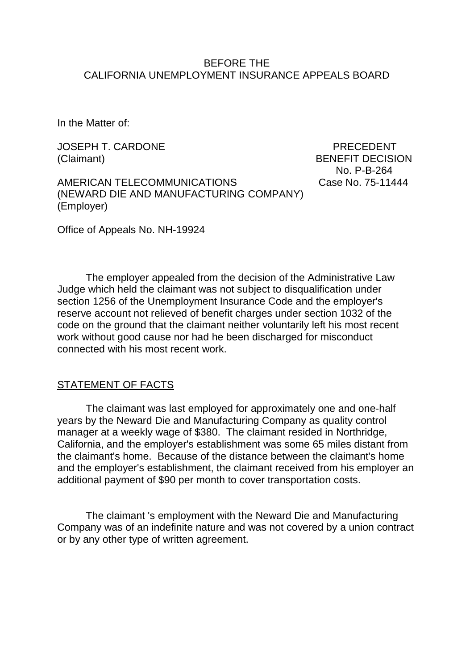#### BEFORE THE CALIFORNIA UNEMPLOYMENT INSURANCE APPEALS BOARD

In the Matter of:

JOSEPH T. CARDONE PRECEDENT (Claimant) BENEFIT DECISION

No. P-B-264

AMERICAN TELECOMMUNICATIONS Case No. 75-11444 (NEWARD DIE AND MANUFACTURING COMPANY) (Employer)

Office of Appeals No. NH-19924

The employer appealed from the decision of the Administrative Law Judge which held the claimant was not subject to disqualification under section 1256 of the Unemployment Insurance Code and the employer's reserve account not relieved of benefit charges under section 1032 of the code on the ground that the claimant neither voluntarily left his most recent work without good cause nor had he been discharged for misconduct connected with his most recent work.

### STATEMENT OF FACTS

The claimant was last employed for approximately one and one-half years by the Neward Die and Manufacturing Company as quality control manager at a weekly wage of \$380. The claimant resided in Northridge, California, and the employer's establishment was some 65 miles distant from the claimant's home. Because of the distance between the claimant's home and the employer's establishment, the claimant received from his employer an additional payment of \$90 per month to cover transportation costs.

The claimant 's employment with the Neward Die and Manufacturing Company was of an indefinite nature and was not covered by a union contract or by any other type of written agreement.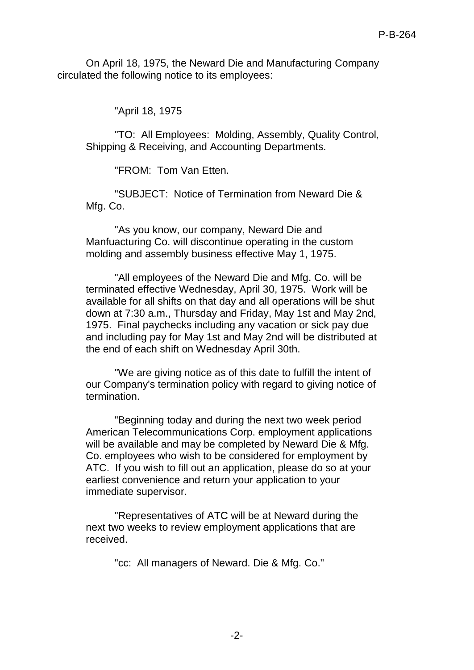On April 18, 1975, the Neward Die and Manufacturing Company circulated the following notice to its employees:

"April 18, 1975

"TO: All Employees: Molding, Assembly, Quality Control, Shipping & Receiving, and Accounting Departments.

"FROM: Tom Van Etten.

"SUBJECT: Notice of Termination from Neward Die & Mfg. Co.

"As you know, our company, Neward Die and Manfuacturing Co. will discontinue operating in the custom molding and assembly business effective May 1, 1975.

"All employees of the Neward Die and Mfg. Co. will be terminated effective Wednesday, April 30, 1975. Work will be available for all shifts on that day and all operations will be shut down at 7:30 a.m., Thursday and Friday, May 1st and May 2nd, 1975. Final paychecks including any vacation or sick pay due and including pay for May 1st and May 2nd will be distributed at the end of each shift on Wednesday April 30th.

"We are giving notice as of this date to fulfill the intent of our Company's termination policy with regard to giving notice of termination.

"Beginning today and during the next two week period American Telecommunications Corp. employment applications will be available and may be completed by Neward Die & Mfg. Co. employees who wish to be considered for employment by ATC. If you wish to fill out an application, please do so at your earliest convenience and return your application to your immediate supervisor.

"Representatives of ATC will be at Neward during the next two weeks to review employment applications that are received.

"cc: All managers of Neward. Die & Mfg. Co."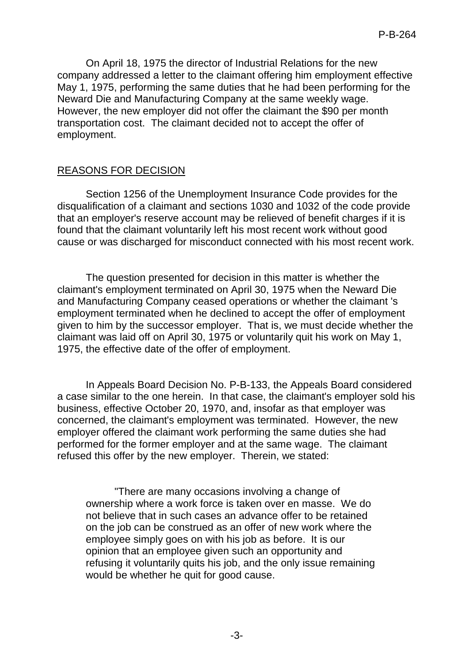On April 18, 1975 the director of Industrial Relations for the new company addressed a letter to the claimant offering him employment effective May 1, 1975, performing the same duties that he had been performing for the Neward Die and Manufacturing Company at the same weekly wage. However, the new employer did not offer the claimant the \$90 per month transportation cost. The claimant decided not to accept the offer of employment.

# REASONS FOR DECISION

Section 1256 of the Unemployment Insurance Code provides for the disqualification of a claimant and sections 1030 and 1032 of the code provide that an employer's reserve account may be relieved of benefit charges if it is found that the claimant voluntarily left his most recent work without good cause or was discharged for misconduct connected with his most recent work.

The question presented for decision in this matter is whether the claimant's employment terminated on April 30, 1975 when the Neward Die and Manufacturing Company ceased operations or whether the claimant 's employment terminated when he declined to accept the offer of employment given to him by the successor employer. That is, we must decide whether the claimant was laid off on April 30, 1975 or voluntarily quit his work on May 1, 1975, the effective date of the offer of employment.

In Appeals Board Decision No. P-B-133, the Appeals Board considered a case similar to the one herein. In that case, the claimant's employer sold his business, effective October 20, 1970, and, insofar as that employer was concerned, the claimant's employment was terminated. However, the new employer offered the claimant work performing the same duties she had performed for the former employer and at the same wage. The claimant refused this offer by the new employer. Therein, we stated:

"There are many occasions involving a change of ownership where a work force is taken over en masse. We do not believe that in such cases an advance offer to be retained on the job can be construed as an offer of new work where the employee simply goes on with his job as before. It is our opinion that an employee given such an opportunity and refusing it voluntarily quits his job, and the only issue remaining would be whether he quit for good cause.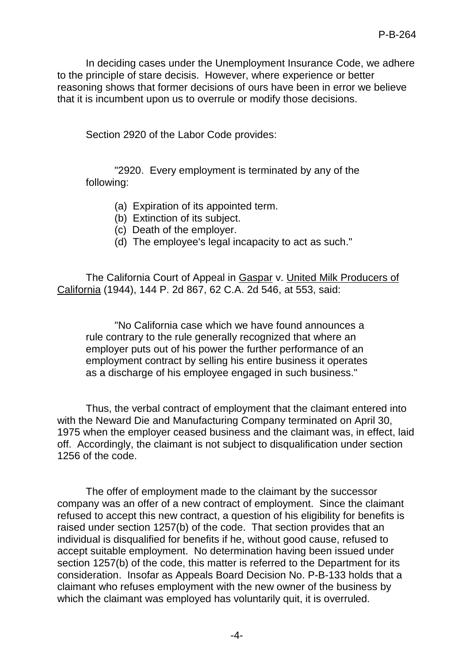In deciding cases under the Unemployment Insurance Code, we adhere to the principle of stare decisis. However, where experience or better reasoning shows that former decisions of ours have been in error we believe that it is incumbent upon us to overrule or modify those decisions.

Section 2920 of the Labor Code provides:

"2920. Every employment is terminated by any of the following:

- (a) Expiration of its appointed term.
- (b) Extinction of its subject.
- (c) Death of the employer.
- (d) The employee's legal incapacity to act as such."

The California Court of Appeal in Gaspar v. United Milk Producers of California (1944), 144 P. 2d 867, 62 C.A. 2d 546, at 553, said:

"No California case which we have found announces a rule contrary to the rule generally recognized that where an employer puts out of his power the further performance of an employment contract by selling his entire business it operates as a discharge of his employee engaged in such business."

Thus, the verbal contract of employment that the claimant entered into with the Neward Die and Manufacturing Company terminated on April 30, 1975 when the employer ceased business and the claimant was, in effect, laid off. Accordingly, the claimant is not subject to disqualification under section 1256 of the code.

The offer of employment made to the claimant by the successor company was an offer of a new contract of employment. Since the claimant refused to accept this new contract, a question of his eligibility for benefits is raised under section 1257(b) of the code. That section provides that an individual is disqualified for benefits if he, without good cause, refused to accept suitable employment. No determination having been issued under section 1257(b) of the code, this matter is referred to the Department for its consideration. Insofar as Appeals Board Decision No. P-B-133 holds that a claimant who refuses employment with the new owner of the business by which the claimant was employed has voluntarily quit, it is overruled.